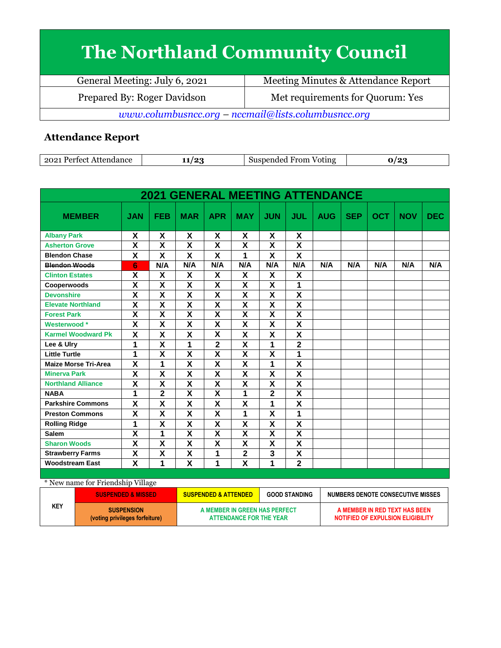## **The Northland Community Council**

| General Meeting: July 6, 2021                       | Meeting Minutes & Attendance Report |  |  |
|-----------------------------------------------------|-------------------------------------|--|--|
| Prepared By: Roger Davidson                         | Met requirements for Quorum: Yes    |  |  |
| www.columbusncc.org - nccmail@lists.columbusncc.org |                                     |  |  |

## **Attendance Report**

| 2021 Perfect Attendance | 0٠. | Suspended From Voting |  |
|-------------------------|-----|-----------------------|--|

| <b>2021 GENERAL MEETING ATTENDANCE</b> |                         |                           |                         |                         |                         |                           |                         |            |            |            |            |            |
|----------------------------------------|-------------------------|---------------------------|-------------------------|-------------------------|-------------------------|---------------------------|-------------------------|------------|------------|------------|------------|------------|
| <b>MEMBER</b>                          | <b>JAN</b>              | <b>FEB</b>                | <b>MAR</b>              | <b>APR</b>              | <b>MAY</b>              | <b>JUN</b>                | <b>JUL</b>              | <b>AUG</b> | <b>SEP</b> | <b>OCT</b> | <b>NOV</b> | <b>DEC</b> |
| <b>Albany Park</b>                     | X                       | X                         | X                       | X                       | X                       | X                         | X                       |            |            |            |            |            |
| <b>Asherton Grove</b>                  | X                       | X                         | X                       | $\pmb{\mathsf{X}}$      | X                       | X                         | X                       |            |            |            |            |            |
| <b>Blendon Chase</b>                   | X                       | X                         | X                       | X                       | 1                       | X                         | X                       |            |            |            |            |            |
| <b>Blendon Woods</b>                   | 6                       | N/A                       | N/A                     | N/A                     | N/A                     | N/A                       | N/A                     | N/A        | N/A        | N/A        | N/A        | N/A        |
| <b>Clinton Estates</b>                 | X                       | X                         | X                       | X                       | X                       | X                         | X                       |            |            |            |            |            |
| Cooperwoods                            | $\overline{\mathsf{x}}$ | X                         | $\overline{\mathsf{x}}$ | X                       | $\overline{\mathsf{x}}$ | X                         | 1                       |            |            |            |            |            |
| <b>Devonshire</b>                      | X                       | X                         | X                       | X                       | X                       | X                         | X                       |            |            |            |            |            |
| <b>Elevate Northland</b>               | $\overline{\mathbf{x}}$ | $\overline{\mathbf{X}}$   | $\overline{\mathbf{x}}$ | $\overline{\mathbf{X}}$ | $\overline{\mathbf{x}}$ | $\overline{\mathbf{X}}$   | $\overline{\mathsf{x}}$ |            |            |            |            |            |
| <b>Forest Park</b>                     | X                       | X                         | X                       | X                       | X                       | X                         | X                       |            |            |            |            |            |
| Westerwood*                            | X                       | X                         | X                       | X                       | X                       | X                         | X                       |            |            |            |            |            |
| <b>Karmel Woodward Pk</b>              | X                       | X                         | X                       | X                       | X                       | X                         | X                       |            |            |            |            |            |
| Lee & Ulry                             | 1                       | $\overline{\mathbf{X}}$   | 1                       | $\overline{2}$          | X                       | 1                         | $\overline{2}$          |            |            |            |            |            |
| <b>Little Turtle</b>                   | 1                       | $\overline{\mathsf{x}}$   | $\overline{\mathbf{x}}$ | $\overline{\mathbf{x}}$ | $\overline{\mathsf{x}}$ | $\overline{\mathbf{x}}$   | 1                       |            |            |            |            |            |
| <b>Maize Morse Tri-Area</b>            | X                       | 1                         | X                       | X                       | X                       | 1                         | X                       |            |            |            |            |            |
| <b>Minerva Park</b>                    | $\overline{\mathsf{x}}$ | $\overline{\mathsf{x}}$   | $\overline{\textsf{x}}$ | $\overline{\mathbf{x}}$ | $\overline{\mathsf{x}}$ | $\overline{\mathsf{x}}$   | $\overline{\textsf{x}}$ |            |            |            |            |            |
| <b>Northland Alliance</b>              | X                       | X                         | X                       | X                       | X                       | X                         | X                       |            |            |            |            |            |
| <b>NABA</b>                            | 1                       | $\overline{2}$            | $\overline{\mathsf{x}}$ | $\overline{\mathbf{x}}$ | 1                       | $\overline{\mathbf{2}}$   | $\overline{\mathsf{x}}$ |            |            |            |            |            |
| <b>Parkshire Commons</b>               | X                       | X                         | X                       | X                       | X                       | 1                         | X                       |            |            |            |            |            |
| <b>Preston Commons</b>                 | X                       | $\boldsymbol{\mathsf{X}}$ | χ                       | $\pmb{\mathsf{X}}$      | 1                       | $\boldsymbol{\mathsf{X}}$ | 1                       |            |            |            |            |            |
| <b>Rolling Ridge</b>                   | 1                       | $\overline{\mathsf{x}}$   | $\overline{\mathsf{x}}$ | $\pmb{\mathsf{X}}$      | $\overline{\mathsf{x}}$ | X                         | $\overline{\mathsf{x}}$ |            |            |            |            |            |
| <b>Salem</b>                           | X                       | 1                         | X                       | X                       | X                       | X                         | X                       |            |            |            |            |            |
| <b>Sharon Woods</b>                    | $\overline{\mathsf{x}}$ | $\overline{\mathsf{x}}$   | $\overline{\mathbf{x}}$ | X                       | $\overline{\mathsf{x}}$ | X                         | $\overline{\mathsf{x}}$ |            |            |            |            |            |
| <b>Strawberry Farms</b>                | X                       | X                         | X                       | 1                       | $\mathbf{2}$            | 3                         | X                       |            |            |            |            |            |
| <b>Woodstream East</b>                 | $\overline{\mathsf{x}}$ | 1                         | $\overline{\mathbf{x}}$ | 1                       | $\overline{\mathsf{x}}$ | $\overline{\mathbf{1}}$   | $\overline{\mathbf{2}}$ |            |            |            |            |            |

| * New name for Friendship Village |                                                     |                                                          |                      |                                                                    |  |
|-----------------------------------|-----------------------------------------------------|----------------------------------------------------------|----------------------|--------------------------------------------------------------------|--|
|                                   | <b>SUSPENDED &amp; MISSED</b>                       | <b>SUSPENDED &amp; ATTENDED</b>                          | <b>GOOD STANDING</b> | NUMBERS DENOTE CONSECUTIVE MISSES                                  |  |
| <b>KEY</b>                        | <b>SUSPENSION</b><br>(voting privileges forfeiture) | A MEMBER IN GREEN HAS PERFECT<br>ATTENDANCE FOR THE YEAR |                      | A MEMBER IN RED TEXT HAS BEEN<br>NOTIFIED OF EXPULSION ELIGIBILITY |  |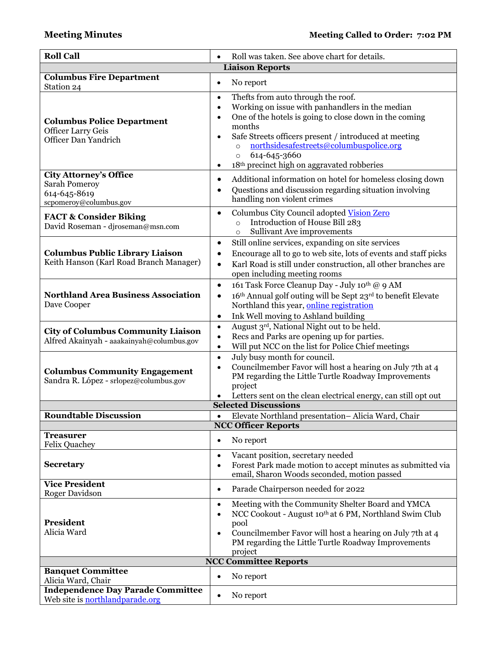| <b>Roll Call</b>                                                                         | Roll was taken. See above chart for details.                                                                                                                                                                                                                                                                                                                                          |  |  |  |  |
|------------------------------------------------------------------------------------------|---------------------------------------------------------------------------------------------------------------------------------------------------------------------------------------------------------------------------------------------------------------------------------------------------------------------------------------------------------------------------------------|--|--|--|--|
| <b>Liaison Reports</b>                                                                   |                                                                                                                                                                                                                                                                                                                                                                                       |  |  |  |  |
| <b>Columbus Fire Department</b><br>Station 24                                            | No report<br>$\bullet$                                                                                                                                                                                                                                                                                                                                                                |  |  |  |  |
| <b>Columbus Police Department</b><br><b>Officer Larry Geis</b><br>Officer Dan Yandrich   | Thefts from auto through the roof.<br>$\bullet$<br>Working on issue with panhandlers in the median<br>$\bullet$<br>One of the hotels is going to close down in the coming<br>months<br>Safe Streets officers present / introduced at meeting<br>٠<br>northsidesafestreets@columbuspolice.org<br>$\circ$<br>614-645-3660<br>$\circ$<br>18th precinct high on aggravated robberies<br>٠ |  |  |  |  |
| City Attorney's Office<br><b>Sarah Pomeroy</b><br>614-645-8619<br>scpomeroy@columbus.gov | Additional information on hotel for homeless closing down<br>٠<br>Questions and discussion regarding situation involving<br>handling non violent crimes                                                                                                                                                                                                                               |  |  |  |  |
| <b>FACT &amp; Consider Biking</b><br>David Roseman - djroseman@msn.com                   | Columbus City Council adopted Vision Zero<br>$\bullet$<br>Introduction of House Bill 283<br>$\circ$<br>Sullivant Ave improvements<br>$\circ$                                                                                                                                                                                                                                          |  |  |  |  |
| <b>Columbus Public Library Liaison</b><br>Keith Hanson (Karl Road Branch Manager)        | Still online services, expanding on site services<br>٠<br>Encourage all to go to web site, lots of events and staff picks<br>٠<br>Karl Road is still under construction, all other branches are<br>$\bullet$<br>open including meeting rooms                                                                                                                                          |  |  |  |  |
| <b>Northland Area Business Association</b><br>Dave Cooper                                | 161 Task Force Cleanup Day - July 10th @ 9 AM<br>$\bullet$<br>16th Annual golf outing will be Sept 23rd to benefit Elevate<br>$\bullet$<br>Northland this year, online registration<br>Ink Well moving to Ashland building<br>$\bullet$                                                                                                                                               |  |  |  |  |
| <b>City of Columbus Community Liaison</b><br>Alfred Akainyah - aaakainyah@columbus.gov   | August 3rd, National Night out to be held.<br>$\bullet$<br>Recs and Parks are opening up for parties.<br>$\bullet$<br>Will put NCC on the list for Police Chief meetings<br>$\bullet$                                                                                                                                                                                                 |  |  |  |  |
| <b>Columbus Community Engagement</b><br>Sandra R. López - srlopez@columbus.gov           | July busy month for council.<br>$\bullet$<br>Councilmember Favor will host a hearing on July 7th at 4<br>PM regarding the Little Turtle Roadway Improvements<br>project<br>Letters sent on the clean electrical energy, can still opt out                                                                                                                                             |  |  |  |  |
|                                                                                          | <b>Selected Discussions</b>                                                                                                                                                                                                                                                                                                                                                           |  |  |  |  |
| <b>Roundtable Discussion</b>                                                             | Elevate Northland presentation- Alicia Ward, Chair<br><b>NCC Officer Reports</b>                                                                                                                                                                                                                                                                                                      |  |  |  |  |
| <b>Treasurer</b><br><b>Felix Quachey</b>                                                 | No report<br>$\bullet$                                                                                                                                                                                                                                                                                                                                                                |  |  |  |  |
| <b>Secretary</b>                                                                         | Vacant position, secretary needed<br>$\bullet$<br>Forest Park made motion to accept minutes as submitted via<br>email, Sharon Woods seconded, motion passed                                                                                                                                                                                                                           |  |  |  |  |
| <b>Vice President</b><br>Roger Davidson                                                  | Parade Chairperson needed for 2022<br>$\bullet$                                                                                                                                                                                                                                                                                                                                       |  |  |  |  |
| President<br>Alicia Ward                                                                 | Meeting with the Community Shelter Board and YMCA<br>$\bullet$<br>NCC Cookout - August 10th at 6 PM, Northland Swim Club<br>$\bullet$<br>pool<br>Councilmember Favor will host a hearing on July 7th at 4<br>$\bullet$<br>PM regarding the Little Turtle Roadway Improvements<br>project<br><b>NCC Committee Reports</b>                                                              |  |  |  |  |
| <b>Banquet Committee</b>                                                                 |                                                                                                                                                                                                                                                                                                                                                                                       |  |  |  |  |
| Alicia Ward, Chair                                                                       | No report<br>$\bullet$                                                                                                                                                                                                                                                                                                                                                                |  |  |  |  |
| <b>Independence Day Parade Committee</b><br>Web site is northlandparade.org              | No report<br>$\bullet$                                                                                                                                                                                                                                                                                                                                                                |  |  |  |  |